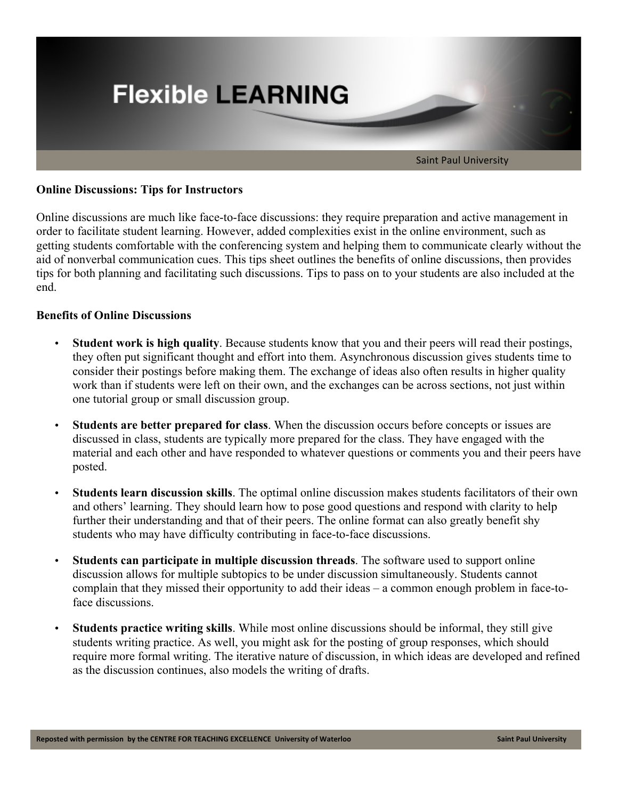

## **Online Discussions: Tips for Instructors**

Online discussions are much like face-to-face discussions: they require preparation and active management in order to facilitate student learning. However, added complexities exist in the online environment, such as getting students comfortable with the conferencing system and helping them to communicate clearly without the aid of nonverbal communication cues. This tips sheet outlines the benefits of online discussions, then provides tips for both planning and facilitating such discussions. Tips to pass on to your students are also included at the end.

### **Benefits of Online Discussions**

- **Student work is high quality**. Because students know that you and their peers will read their postings, they often put significant thought and effort into them. Asynchronous discussion gives students time to consider their postings before making them. The exchange of ideas also often results in higher quality work than if students were left on their own, and the exchanges can be across sections, not just within one tutorial group or small discussion group.
- **Students are better prepared for class**. When the discussion occurs before concepts or issues are discussed in class, students are typically more prepared for the class. They have engaged with the material and each other and have responded to whatever questions or comments you and their peers have posted.
- **Students learn discussion skills**. The optimal online discussion makes students facilitators of their own and others' learning. They should learn how to pose good questions and respond with clarity to help further their understanding and that of their peers. The online format can also greatly benefit shy students who may have difficulty contributing in face-to-face discussions.
- **Students can participate in multiple discussion threads**. The software used to support online discussion allows for multiple subtopics to be under discussion simultaneously. Students cannot complain that they missed their opportunity to add their ideas – a common enough problem in face-toface discussions.
- **Students practice writing skills**. While most online discussions should be informal, they still give students writing practice. As well, you might ask for the posting of group responses, which should require more formal writing. The iterative nature of discussion, in which ideas are developed and refined as the discussion continues, also models the writing of drafts.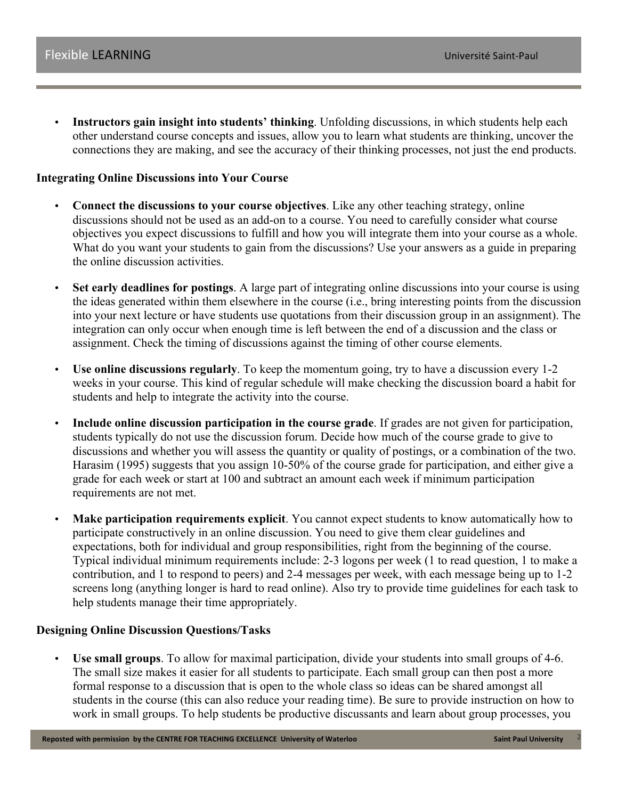• **Instructors gain insight into students' thinking**. Unfolding discussions, in which students help each other understand course concepts and issues, allow you to learn what students are thinking, uncover the connections they are making, and see the accuracy of their thinking processes, not just the end products.

## **Integrating Online Discussions into Your Course**

- **Connect the discussions to your course objectives**. Like any other teaching strategy, online discussions should not be used as an add-on to a course. You need to carefully consider what course objectives you expect discussions to fulfill and how you will integrate them into your course as a whole. What do you want your students to gain from the discussions? Use your answers as a guide in preparing the online discussion activities.
- **Set early deadlines for postings**. A large part of integrating online discussions into your course is using the ideas generated within them elsewhere in the course (i.e., bring interesting points from the discussion into your next lecture or have students use quotations from their discussion group in an assignment). The integration can only occur when enough time is left between the end of a discussion and the class or assignment. Check the timing of discussions against the timing of other course elements.
- **Use online discussions regularly**. To keep the momentum going, try to have a discussion every 1-2 weeks in your course. This kind of regular schedule will make checking the discussion board a habit for students and help to integrate the activity into the course.
- **Include online discussion participation in the course grade**. If grades are not given for participation, students typically do not use the discussion forum. Decide how much of the course grade to give to discussions and whether you will assess the quantity or quality of postings, or a combination of the two. Harasim (1995) suggests that you assign 10-50% of the course grade for participation, and either give a grade for each week or start at 100 and subtract an amount each week if minimum participation requirements are not met.
- **Make participation requirements explicit**. You cannot expect students to know automatically how to participate constructively in an online discussion. You need to give them clear guidelines and expectations, both for individual and group responsibilities, right from the beginning of the course. Typical individual minimum requirements include: 2-3 logons per week (1 to read question, 1 to make a contribution, and 1 to respond to peers) and 2-4 messages per week, with each message being up to 1-2 screens long (anything longer is hard to read online). Also try to provide time guidelines for each task to help students manage their time appropriately.

#### **Designing Online Discussion Questions/Tasks**

• **Use small groups**. To allow for maximal participation, divide your students into small groups of 4-6. The small size makes it easier for all students to participate. Each small group can then post a more formal response to a discussion that is open to the whole class so ideas can be shared amongst all students in the course (this can also reduce your reading time). Be sure to provide instruction on how to work in small groups. To help students be productive discussants and learn about group processes, you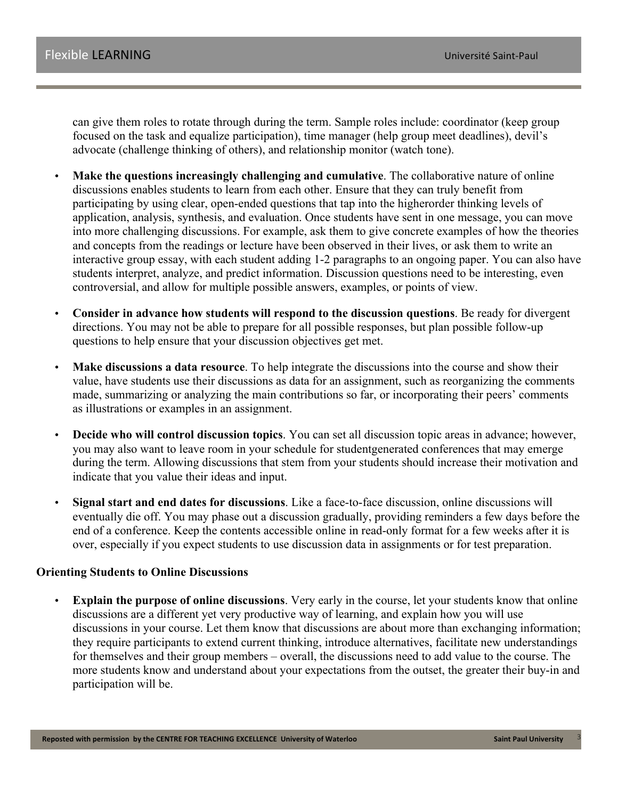can give them roles to rotate through during the term. Sample roles include: coordinator (keep group focused on the task and equalize participation), time manager (help group meet deadlines), devil's advocate (challenge thinking of others), and relationship monitor (watch tone).

- **Make the questions increasingly challenging and cumulative**. The collaborative nature of online discussions enables students to learn from each other. Ensure that they can truly benefit from participating by using clear, open-ended questions that tap into the higherorder thinking levels of application, analysis, synthesis, and evaluation. Once students have sent in one message, you can move into more challenging discussions. For example, ask them to give concrete examples of how the theories and concepts from the readings or lecture have been observed in their lives, or ask them to write an interactive group essay, with each student adding 1-2 paragraphs to an ongoing paper. You can also have students interpret, analyze, and predict information. Discussion questions need to be interesting, even controversial, and allow for multiple possible answers, examples, or points of view.
- **Consider in advance how students will respond to the discussion questions**. Be ready for divergent directions. You may not be able to prepare for all possible responses, but plan possible follow-up questions to help ensure that your discussion objectives get met.
- **Make discussions a data resource**. To help integrate the discussions into the course and show their value, have students use their discussions as data for an assignment, such as reorganizing the comments made, summarizing or analyzing the main contributions so far, or incorporating their peers' comments as illustrations or examples in an assignment.
- **Decide who will control discussion topics**. You can set all discussion topic areas in advance; however, you may also want to leave room in your schedule for studentgenerated conferences that may emerge during the term. Allowing discussions that stem from your students should increase their motivation and indicate that you value their ideas and input.
- **Signal start and end dates for discussions**. Like a face-to-face discussion, online discussions will eventually die off. You may phase out a discussion gradually, providing reminders a few days before the end of a conference. Keep the contents accessible online in read-only format for a few weeks after it is over, especially if you expect students to use discussion data in assignments or for test preparation.

#### **Orienting Students to Online Discussions**

**Explain the purpose of online discussions**. Very early in the course, let your students know that online discussions are a different yet very productive way of learning, and explain how you will use discussions in your course. Let them know that discussions are about more than exchanging information; they require participants to extend current thinking, introduce alternatives, facilitate new understandings for themselves and their group members – overall, the discussions need to add value to the course. The more students know and understand about your expectations from the outset, the greater their buy-in and participation will be.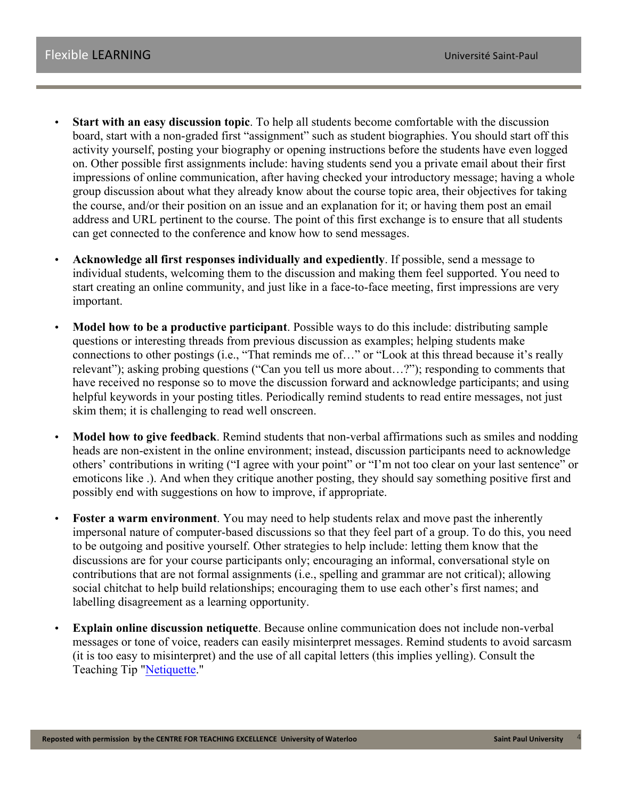- **Start with an easy discussion topic**. To help all students become comfortable with the discussion board, start with a non-graded first "assignment" such as student biographies. You should start off this activity yourself, posting your biography or opening instructions before the students have even logged on. Other possible first assignments include: having students send you a private email about their first impressions of online communication, after having checked your introductory message; having a whole group discussion about what they already know about the course topic area, their objectives for taking the course, and/or their position on an issue and an explanation for it; or having them post an email address and URL pertinent to the course. The point of this first exchange is to ensure that all students can get connected to the conference and know how to send messages.
- **Acknowledge all first responses individually and expediently**. If possible, send a message to individual students, welcoming them to the discussion and making them feel supported. You need to start creating an online community, and just like in a face-to-face meeting, first impressions are very important.
- **Model how to be a productive participant**. Possible ways to do this include: distributing sample questions or interesting threads from previous discussion as examples; helping students make connections to other postings (i.e., "That reminds me of…" or "Look at this thread because it's really relevant"); asking probing questions ("Can you tell us more about…?"); responding to comments that have received no response so to move the discussion forward and acknowledge participants; and using helpful keywords in your posting titles. Periodically remind students to read entire messages, not just skim them; it is challenging to read well onscreen.
- **Model how to give feedback**. Remind students that non-verbal affirmations such as smiles and nodding heads are non-existent in the online environment; instead, discussion participants need to acknowledge others' contributions in writing ("I agree with your point" or "I'm not too clear on your last sentence" or emoticons like .). And when they critique another posting, they should say something positive first and possibly end with suggestions on how to improve, if appropriate.
- **Foster a warm environment**. You may need to help students relax and move past the inherently impersonal nature of computer-based discussions so that they feel part of a group. To do this, you need to be outgoing and positive yourself. Other strategies to help include: letting them know that the discussions are for your course participants only; encouraging an informal, conversational style on contributions that are not formal assignments (i.e., spelling and grammar are not critical); allowing social chitchat to help build relationships; encouraging them to use each other's first names; and labelling disagreement as a learning opportunity.
- **Explain online discussion netiquette**. Because online communication does not include non-verbal messages or tone of voice, readers can easily misinterpret messages. Remind students to avoid sarcasm (it is too easy to misinterpret) and the use of all capital letters (this implies yelling). Consult the Teaching Tip "Netiquette."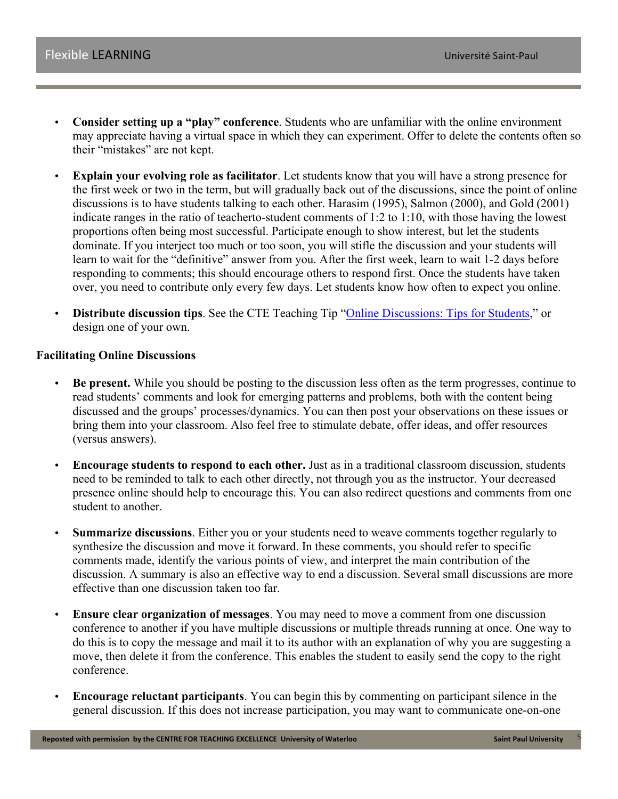- **Consider setting up a "play" conference**. Students who are unfamiliar with the online environment may appreciate having a virtual space in which they can experiment. Offer to delete the contents often so their "mistakes" are not kept.
- **Explain your evolving role as facilitator**. Let students know that you will have a strong presence for the first week or two in the term, but will gradually back out of the discussions, since the point of online discussions is to have students talking to each other. Harasim (1995), Salmon (2000), and Gold (2001) indicate ranges in the ratio of teacherto-student comments of 1:2 to 1:10, with those having the lowest proportions often being most successful. Participate enough to show interest, but let the students dominate. If you interject too much or too soon, you will stifle the discussion and your students will learn to wait for the "definitive" answer from you. After the first week, learn to wait 1-2 days before responding to comments; this should encourage others to respond first. Once the students have taken over, you need to contribute only every few days. Let students know how often to expect you online.
- **Distribute discussion tips**. See the CTE Teaching Tip "Online Discussions: Tips for Students," or design one of your own.

#### **Facilitating Online Discussions**

- **Be present.** While you should be posting to the discussion less often as the term progresses, continue to read students' comments and look for emerging patterns and problems, both with the content being discussed and the groups' processes/dynamics. You can then post your observations on these issues or bring them into your classroom. Also feel free to stimulate debate, offer ideas, and offer resources (versus answers).
- **Encourage students to respond to each other.** Just as in a traditional classroom discussion, students need to be reminded to talk to each other directly, not through you as the instructor. Your decreased presence online should help to encourage this. You can also redirect questions and comments from one student to another.
- **Summarize discussions**. Either you or your students need to weave comments together regularly to synthesize the discussion and move it forward. In these comments, you should refer to specific comments made, identify the various points of view, and interpret the main contribution of the discussion. A summary is also an effective way to end a discussion. Several small discussions are more effective than one discussion taken too far.
- **Ensure clear organization of messages**. You may need to move a comment from one discussion conference to another if you have multiple discussions or multiple threads running at once. One way to do this is to copy the message and mail it to its author with an explanation of why you are suggesting a move, then delete it from the conference. This enables the student to easily send the copy to the right conference.
- **Encourage reluctant participants**. You can begin this by commenting on participant silence in the general discussion. If this does not increase participation, you may want to communicate one-on-one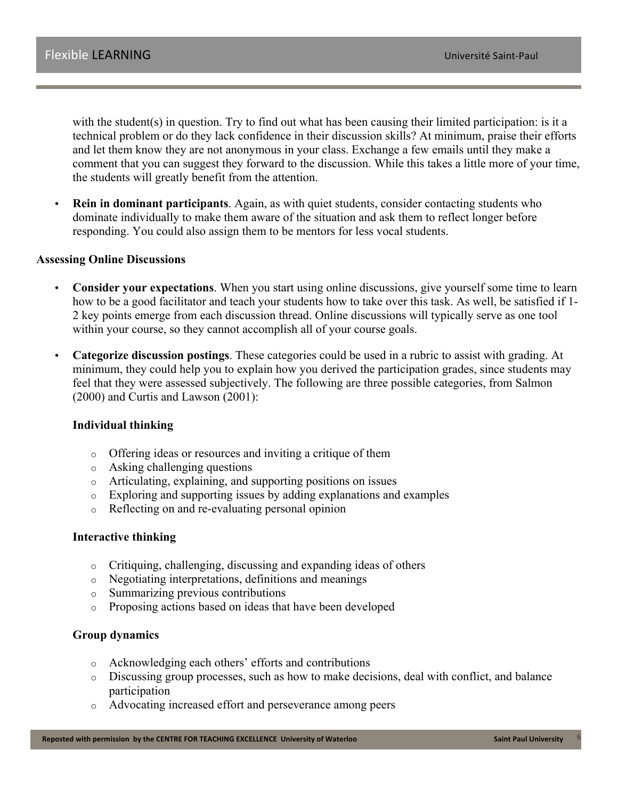with the student(s) in question. Try to find out what has been causing their limited participation: is it a technical problem or do they lack confidence in their discussion skills? At minimum, praise their efforts and let them know they are not anonymous in your class. Exchange a few emails until they make a comment that you can suggest they forward to the discussion. While this takes a little more of your time, the students will greatly benefit from the attention.

**Rein in dominant participants**. Again, as with quiet students, consider contacting students who dominate individually to make them aware of the situation and ask them to reflect longer before responding. You could also assign them to be mentors for less vocal students.

#### **Assessing Online Discussions**

- **Consider your expectations**. When you start using online discussions, give yourself some time to learn how to be a good facilitator and teach your students how to take over this task. As well, be satisfied if 1- 2 key points emerge from each discussion thread. Online discussions will typically serve as one tool within your course, so they cannot accomplish all of your course goals.
- **Categorize discussion postings**. These categories could be used in a rubric to assist with grading. At minimum, they could help you to explain how you derived the participation grades, since students may feel that they were assessed subjectively. The following are three possible categories, from Salmon (2000) and Curtis and Lawson (2001):

#### **Individual thinking**

- o Offering ideas or resources and inviting a critique of them
- o Asking challenging questions
- o Articulating, explaining, and supporting positions on issues
- o Exploring and supporting issues by adding explanations and examples
- o Reflecting on and re-evaluating personal opinion

#### **Interactive thinking**

- o Critiquing, challenging, discussing and expanding ideas of others
- o Negotiating interpretations, definitions and meanings
- o Summarizing previous contributions
- o Proposing actions based on ideas that have been developed

#### **Group dynamics**

- o Acknowledging each others' efforts and contributions
- o Discussing group processes, such as how to make decisions, deal with conflict, and balance participation
- o Advocating increased effort and perseverance among peers